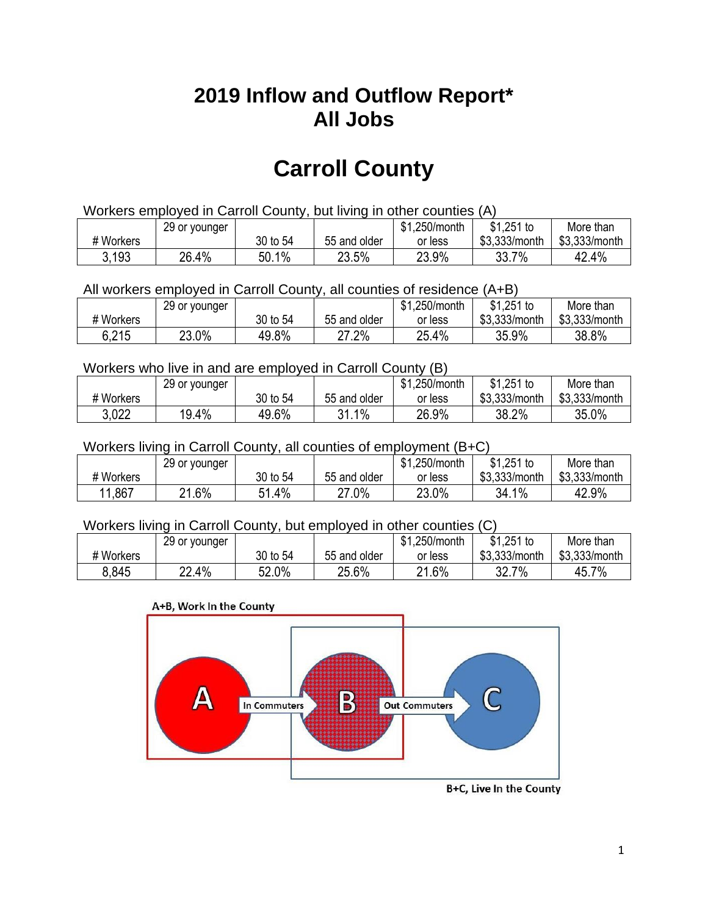## **2019 Inflow and Outflow Report\* All Jobs**

# **Carroll County**

| Workers employed in Carroll County, but living in other counties (A) |                                                           |          |              |         |               |               |  |  |  |
|----------------------------------------------------------------------|-----------------------------------------------------------|----------|--------------|---------|---------------|---------------|--|--|--|
|                                                                      | \$1.251 to<br>\$1.250/month<br>29 or younger<br>More than |          |              |         |               |               |  |  |  |
| # Workers                                                            |                                                           | 30 to 54 | 55 and older | or less | \$3,333/month | \$3,333/month |  |  |  |
| 3.193                                                                | 26.4%                                                     | 50.1%    | 23.5%        | 23.9%   | 33.7%         | 42.4%         |  |  |  |

All workers employed in Carroll County, all counties of residence (A+B)

|           | 29 or younger |          |              | \$1,250/month | $$1,251$ to   | More than     |
|-----------|---------------|----------|--------------|---------------|---------------|---------------|
| # Workers |               | 30 to 54 | 55 and older | or less       | \$3,333/month | \$3,333/month |
| 6,215     | 23.0%         | 49.8%    | 27.2%        | 25.4%         | 35.9%         | 38.8%         |

#### Workers who live in and are employed in Carroll County (B)

|           | 29 or younger |          |              | \$1,250/month | $$1,251$ to   | More than     |
|-----------|---------------|----------|--------------|---------------|---------------|---------------|
| # Workers |               | 30 to 54 | 55 and older | or less       | \$3,333/month | \$3,333/month |
| 3,022     | 19.4%         | 49.6%    | 31.1%        | 26.9%         | 38.2%         | 35.0%         |

#### Workers living in Carroll County, all counties of employment (B+C)

|            | 29 or younger |             |              | \$1,250/month | \$1,251 to    | More than     |
|------------|---------------|-------------|--------------|---------------|---------------|---------------|
| # Workers  |               | 30 to 54    | 55 and older | or less       | \$3,333/month | \$3,333/month |
| .867<br>44 | 21.6%         | 51.4%<br>51 | 27.0%        | 23.0%         | 34.1%         | 42.9%         |

#### Workers living in Carroll County, but employed in other counties (C)

|           | 29 or younger |          |              | .250/month<br><b>ሰ</b><br>ונה | $$1,251$ to   | More than     |
|-----------|---------------|----------|--------------|-------------------------------|---------------|---------------|
| # Workers |               | 30 to 54 | 55 and older | or less                       | \$3,333/month | \$3,333/month |
| 8.845     | 22.4%         | 52.0%    | 25.6%        | 21.6%                         | 7%<br>32.7    | 45.7%         |

#### A+B, Work In the County